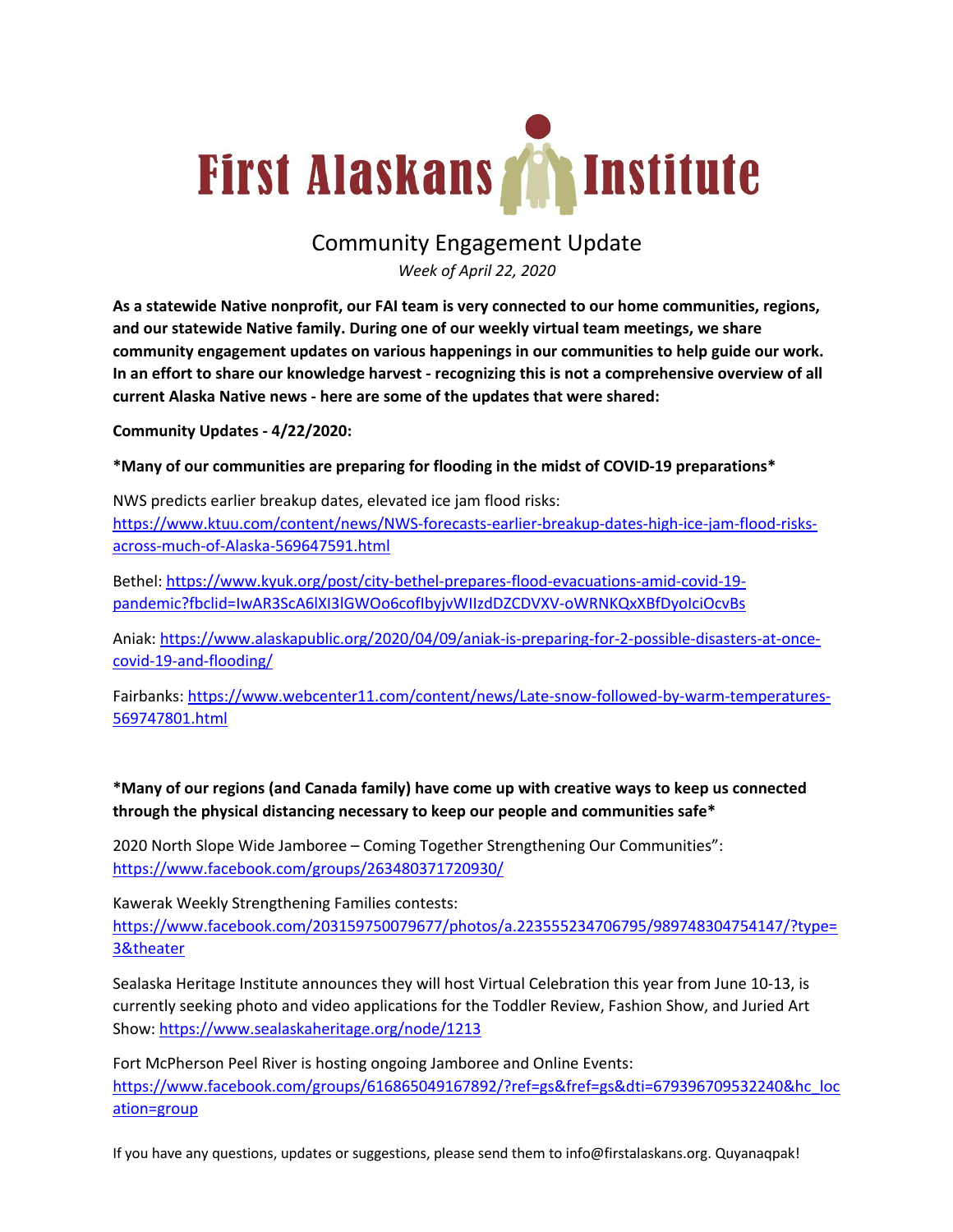# First Alaskans **The Institute**

## Community Engagement Update

*Week of April 22, 2020*

**As a statewide Native nonprofit, our FAI team is very connected to our home communities, regions, and our statewide Native family. During one of our weekly virtual team meetings, we share community engagement updates on various happenings in our communities to help guide our work. In an effort to share our knowledge harvest - recognizing this is not a comprehensive overview of all current Alaska Native news - here are some of the updates that were shared:**

**Community Updates - 4/22/2020:**

### **\*Many of our communities are preparing for flooding in the midst of COVID-19 preparations\***

NWS predicts earlier breakup dates, elevated ice jam flood risks: https://www.ktuu.com/content/news/NWS-forecasts-earlier-breakup-dates-high-ice-jam-flood-risksacross-much-of-Alaska-569647591.html

Bethel: https://www.kyuk.org/post/city-bethel-prepares-flood-evacuations-amid-covid-19 pandemic?fbclid=IwAR3ScA6lXI3lGWOo6cofIbyjvWIIzdDZCDVXV-oWRNKQxXBfDyoIciOcvBs

Aniak: https://www.alaskapublic.org/2020/04/09/aniak-is-preparing-for-2-possible-disasters-at-oncecovid-19-and-flooding/

Fairbanks: https://www.webcenter11.com/content/news/Late-snow-followed-by-warm-temperatures-569747801.html

**\*Many of our regions (and Canada family) have come up with creative ways to keep us connected through the physical distancing necessary to keep our people and communities safe\***

2020 North Slope Wide Jamboree – Coming Together Strengthening Our Communities": https://www.facebook.com/groups/263480371720930/

Kawerak Weekly Strengthening Families contests:

https://www.facebook.com/203159750079677/photos/a.223555234706795/989748304754147/?type= 3&theater

Sealaska Heritage Institute announces they will host Virtual Celebration this year from June 10-13, is currently seeking photo and video applications for the Toddler Review, Fashion Show, and Juried Art Show: https://www.sealaskaheritage.org/node/1213

Fort McPherson Peel River is hosting ongoing Jamboree and Online Events: https://www.facebook.com/groups/616865049167892/?ref=gs&fref=gs&dti=679396709532240&hc\_loc ation=group

If you have any questions, updates or suggestions, please send them to info@firstalaskans.org. Quyanaqpak!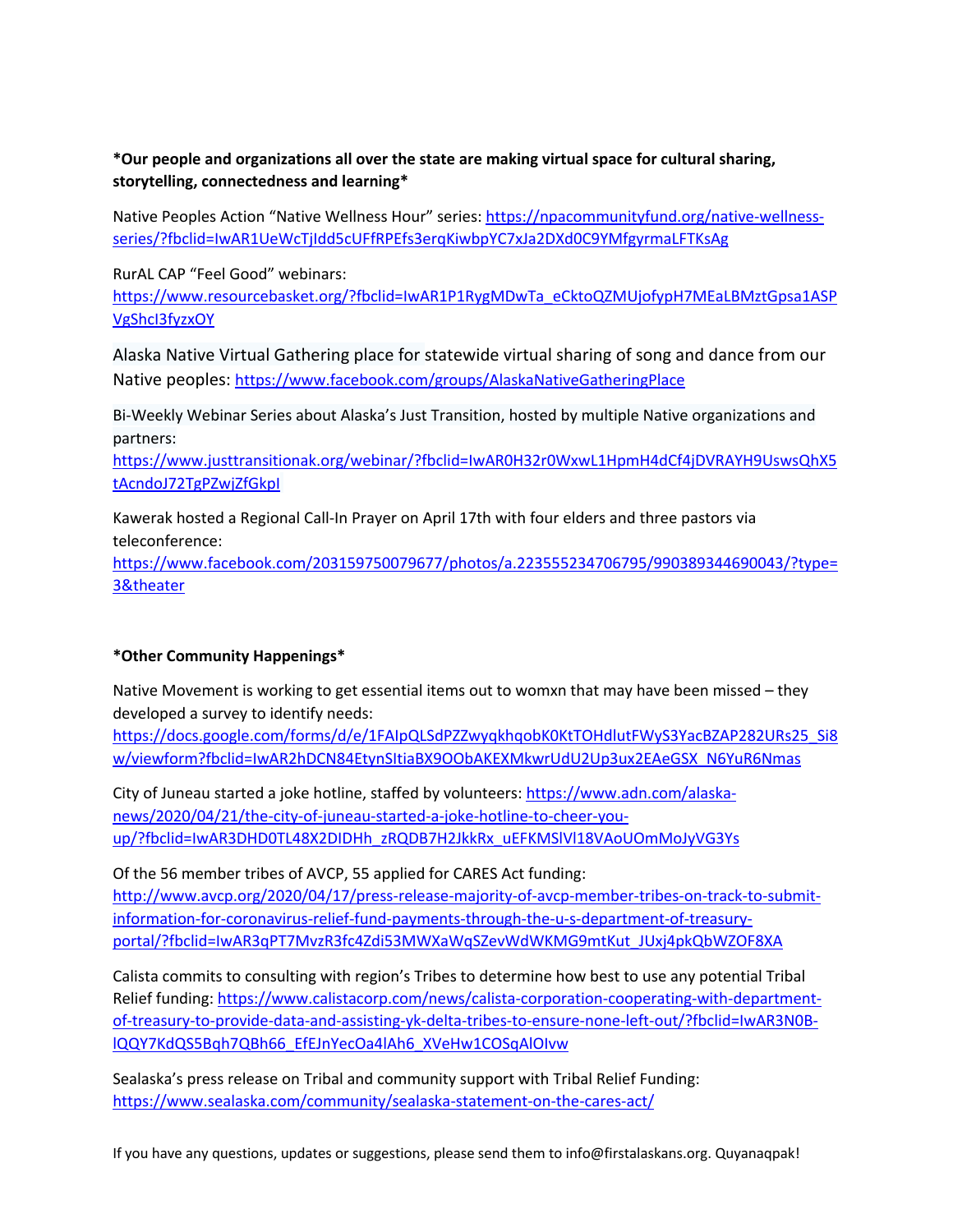#### **\*Our people and organizations all over the state are making virtual space for cultural sharing, storytelling, connectedness and learning\***

Native Peoples Action "Native Wellness Hour" series: https://npacommunityfund.org/native-wellnessseries/?fbclid=IwAR1UeWcTjIdd5cUFfRPEfs3erqKiwbpYC7xJa2DXd0C9YMfgyrmaLFTKsAg

RurAL CAP "Feel Good" webinars:

https://www.resourcebasket.org/?fbclid=IwAR1P1RygMDwTa\_eCktoQZMUjofypH7MEaLBMztGpsa1ASP VgShcI3fyzxOY

Alaska Native Virtual Gathering place for statewide virtual sharing of song and dance from our Native peoples: https://www.facebook.com/groups/AlaskaNativeGatheringPlace

Bi-Weekly Webinar Series about Alaska's Just Transition, hosted by multiple Native organizations and partners:

https://www.justtransitionak.org/webinar/?fbclid=IwAR0H32r0WxwL1HpmH4dCf4jDVRAYH9UswsQhX5 tAcndoJ72TgPZwjZfGkpI

Kawerak hosted a Regional Call-In Prayer on April 17th with four elders and three pastors via teleconference:

https://www.facebook.com/203159750079677/photos/a.223555234706795/990389344690043/?type= 3&theater

#### **\*Other Community Happenings\***

Native Movement is working to get essential items out to womxn that may have been missed – they developed a survey to identify needs:

https://docs.google.com/forms/d/e/1FAIpQLSdPZZwyqkhqobK0KtTOHdlutFWyS3YacBZAP282URs25\_Si8 w/viewform?fbclid=IwAR2hDCN84EtynSItiaBX9OObAKEXMkwrUdU2Up3ux2EAeGSX\_N6YuR6Nmas

City of Juneau started a joke hotline, staffed by volunteers: https://www.adn.com/alaskanews/2020/04/21/the-city-of-juneau-started-a-joke-hotline-to-cheer-youup/?fbclid=IwAR3DHD0TL48X2DIDHh\_zRQDB7H2JkkRx\_uEFKMSlVl18VAoUOmMoJyVG3Ys

Of the 56 member tribes of AVCP, 55 applied for CARES Act funding: http://www.avcp.org/2020/04/17/press-release-majority-of-avcp-member-tribes-on-track-to-submitinformation-for-coronavirus-relief-fund-payments-through-the-u-s-department-of-treasuryportal/?fbclid=IwAR3qPT7MvzR3fc4Zdi53MWXaWqSZevWdWKMG9mtKut\_JUxj4pkQbWZOF8XA

Calista commits to consulting with region's Tribes to determine how best to use any potential Tribal Relief funding: https://www.calistacorp.com/news/calista-corporation-cooperating-with-departmentof-treasury-to-provide-data-and-assisting-yk-delta-tribes-to-ensure-none-left-out/?fbclid=IwAR3N0BlQQY7KdQS5Bqh7QBh66\_EfEJnYecOa4lAh6\_XVeHw1COSqAlOIvw

Sealaska's press release on Tribal and community support with Tribal Relief Funding: https://www.sealaska.com/community/sealaska-statement-on-the-cares-act/

If you have any questions, updates or suggestions, please send them to info@firstalaskans.org. Quyanaqpak!